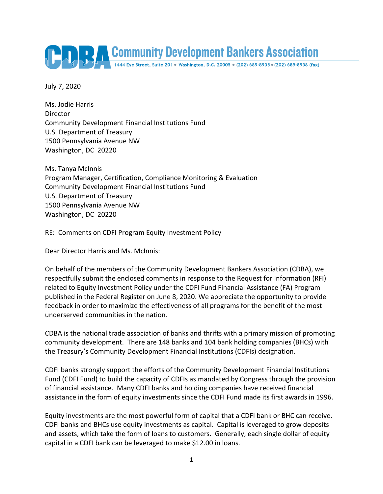

July 7, 2020

Ms. Jodie Harris Director Community Development Financial Institutions Fund U.S. Department of Treasury 1500 Pennsylvania Avenue NW Washington, DC 20220

Ms. Tanya McInnis Program Manager, Certification, Compliance Monitoring & Evaluation Community Development Financial Institutions Fund U.S. Department of Treasury 1500 Pennsylvania Avenue NW Washington, DC 20220

RE: Comments on CDFI Program Equity Investment Policy

Dear Director Harris and Ms. McInnis:

On behalf of the members of the Community Development Bankers Association (CDBA), we respectfully submit the enclosed comments in response to the Request for Information (RFI) related to Equity Investment Policy under the CDFI Fund Financial Assistance (FA) Program published in the Federal Register on June 8, 2020. We appreciate the opportunity to provide feedback in order to maximize the effectiveness of all programs for the benefit of the most underserved communities in the nation.

CDBA is the national trade association of banks and thrifts with a primary mission of promoting community development. There are 148 banks and 104 bank holding companies (BHCs) with the Treasury's Community Development Financial Institutions (CDFIs) designation.

CDFI banks strongly support the efforts of the Community Development Financial Institutions Fund (CDFI Fund) to build the capacity of CDFIs as mandated by Congress through the provision of financial assistance. Many CDFI banks and holding companies have received financial assistance in the form of equity investments since the CDFI Fund made its first awards in 1996.

Equity investments are the most powerful form of capital that a CDFI bank or BHC can receive. CDFI banks and BHCs use equity investments as capital. Capital is leveraged to grow deposits and assets, which take the form of loans to customers. Generally, each single dollar of equity capital in a CDFI bank can be leveraged to make \$12.00 in loans.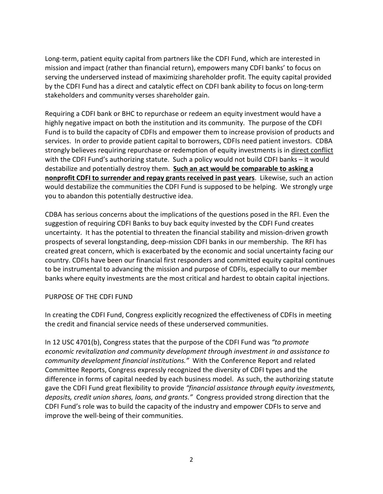Long-term, patient equity capital from partners like the CDFI Fund, which are interested in mission and impact (rather than financial return), empowers many CDFI banks' to focus on serving the underserved instead of maximizing shareholder profit. The equity capital provided by the CDFI Fund has a direct and catalytic effect on CDFI bank ability to focus on long-term stakeholders and community verses shareholder gain.

Requiring a CDFI bank or BHC to repurchase or redeem an equity investment would have a highly negative impact on both the institution and its community. The purpose of the CDFI Fund is to build the capacity of CDFIs and empower them to increase provision of products and services. In order to provide patient capital to borrowers, CDFIs need patient investors. CDBA strongly believes requiring repurchase or redemption of equity investments is in direct conflict with the CDFI Fund's authorizing statute. Such a policy would not build CDFI banks – it would destabilize and potentially destroy them. **Such an act would be comparable to asking a nonprofit CDFI to surrender and repay grants received in past years**. Likewise, such an action would destabilize the communities the CDFI Fund is supposed to be helping. We strongly urge you to abandon this potentially destructive idea.

CDBA has serious concerns about the implications of the questions posed in the RFI. Even the suggestion of requiring CDFI Banks to buy back equity invested by the CDFI Fund creates uncertainty. It has the potential to threaten the financial stability and mission-driven growth prospects of several longstanding, deep-mission CDFI banks in our membership. The RFI has created great concern, which is exacerbated by the economic and social uncertainty facing our country. CDFIs have been our financial first responders and committed equity capital continues to be instrumental to advancing the mission and purpose of CDFIs, especially to our member banks where equity investments are the most critical and hardest to obtain capital injections.

### PURPOSE OF THE CDFI FUND

In creating the CDFI Fund, Congress explicitly recognized the effectiveness of CDFIs in meeting the credit and financial service needs of these underserved communities.

In 12 USC 4701(b), Congress states that the purpose of the CDFI Fund was *"to promote economic revitalization and community development through investment in and assistance to community development financial institutions."* With the Conference Report and related Committee Reports, Congress expressly recognized the diversity of CDFI types and the difference in forms of capital needed by each business model. As such, the authorizing statute gave the CDFI Fund great flexibility to provide *"financial assistance through equity investments, deposits, credit union shares, loans, and grants."* Congress provided strong direction that the CDFI Fund's role was to build the capacity of the industry and empower CDFIs to serve and improve the well-being of their communities.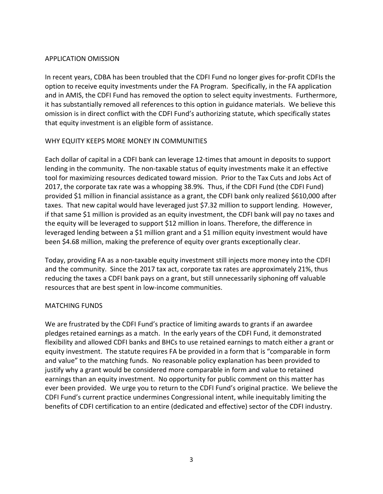### APPLICATION OMISSION

In recent years, CDBA has been troubled that the CDFI Fund no longer gives for-profit CDFIs the option to receive equity investments under the FA Program. Specifically, in the FA application and in AMIS, the CDFI Fund has removed the option to select equity investments. Furthermore, it has substantially removed all references to this option in guidance materials. We believe this omission is in direct conflict with the CDFI Fund's authorizing statute, which specifically states that equity investment is an eligible form of assistance.

### WHY EQUITY KEEPS MORE MONEY IN COMMUNITIES

Each dollar of capital in a CDFI bank can leverage 12-times that amount in deposits to support lending in the community. The non-taxable status of equity investments make it an effective tool for maximizing resources dedicated toward mission. Prior to the Tax Cuts and Jobs Act of 2017, the corporate tax rate was a whopping 38.9%. Thus, if the CDFI Fund (the CDFI Fund) provided \$1 million in financial assistance as a grant, the CDFI bank only realized \$610,000 after taxes. That new capital would have leveraged just \$7.32 million to support lending. However, if that same \$1 million is provided as an equity investment, the CDFI bank will pay no taxes and the equity will be leveraged to support \$12 million in loans. Therefore, the difference in leveraged lending between a \$1 million grant and a \$1 million equity investment would have been \$4.68 million, making the preference of equity over grants exceptionally clear.

Today, providing FA as a non-taxable equity investment still injects more money into the CDFI and the community. Since the 2017 tax act, corporate tax rates are approximately 21%, thus reducing the taxes a CDFI bank pays on a grant, but still unnecessarily siphoning off valuable resources that are best spent in low-income communities.

# MATCHING FUNDS

We are frustrated by the CDFI Fund's practice of limiting awards to grants if an awardee pledges retained earnings as a match. In the early years of the CDFI Fund, it demonstrated flexibility and allowed CDFI banks and BHCs to use retained earnings to match either a grant or equity investment. The statute requires FA be provided in a form that is "comparable in form and value" to the matching funds. No reasonable policy explanation has been provided to justify why a grant would be considered more comparable in form and value to retained earnings than an equity investment. No opportunity for public comment on this matter has ever been provided. We urge you to return to the CDFI Fund's original practice. We believe the CDFI Fund's current practice undermines Congressional intent, while inequitably limiting the benefits of CDFI certification to an entire (dedicated and effective) sector of the CDFI industry.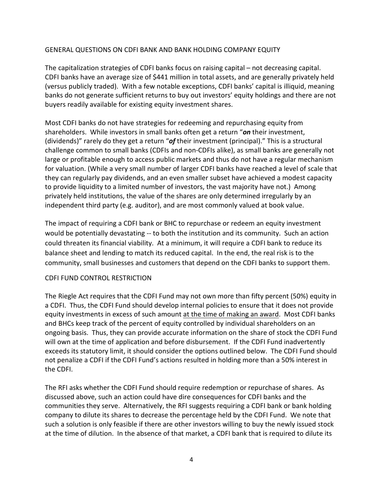### GENERAL QUESTIONS ON CDFI BANK AND BANK HOLDING COMPANY EQUITY

The capitalization strategies of CDFI banks focus on raising capital – not decreasing capital. CDFI banks have an average size of \$441 million in total assets, and are generally privately held (versus publicly traded). With a few notable exceptions, CDFI banks' capital is illiquid, meaning banks do not generate sufficient returns to buy out investors' equity holdings and there are not buyers readily available for existing equity investment shares.

Most CDFI banks do not have strategies for redeeming and repurchasing equity from shareholders. While investors in small banks often get a return "*on* their investment, (dividends)" rarely do they get a return "*of* their investment (principal)." This is a structural challenge common to small banks (CDFIs and non-CDFIs alike), as small banks are generally not large or profitable enough to access public markets and thus do not have a regular mechanism for valuation. (While a very small number of larger CDFI banks have reached a level of scale that they can regularly pay dividends, and an even smaller subset have achieved a modest capacity to provide liquidity to a limited number of investors, the vast majority have not.) Among privately held institutions, the value of the shares are only determined irregularly by an independent third party (e.g. auditor), and are most commonly valued at book value.

The impact of requiring a CDFI bank or BHC to repurchase or redeem an equity investment would be potentially devastating -- to both the institution and its community. Such an action could threaten its financial viability. At a minimum, it will require a CDFI bank to reduce its balance sheet and lending to match its reduced capital. In the end, the real risk is to the community, small businesses and customers that depend on the CDFI banks to support them.

### CDFI FUND CONTROL RESTRICTION

The Riegle Act requires that the CDFI Fund may not own more than fifty percent (50%) equity in a CDFI. Thus, the CDFI Fund should develop internal policies to ensure that it does not provide equity investments in excess of such amount at the time of making an award. Most CDFI banks and BHCs keep track of the percent of equity controlled by individual shareholders on an ongoing basis. Thus, they can provide accurate information on the share of stock the CDFI Fund will own at the time of application and before disbursement. If the CDFI Fund inadvertently exceeds its statutory limit, it should consider the options outlined below. The CDFI Fund should not penalize a CDFI if the CDFI Fund's actions resulted in holding more than a 50% interest in the CDFI.

The RFI asks whether the CDFI Fund should require redemption or repurchase of shares. As discussed above, such an action could have dire consequences for CDFI banks and the communities they serve. Alternatively, the RFI suggests requiring a CDFI bank or bank holding company to dilute its shares to decrease the percentage held by the CDFI Fund. We note that such a solution is only feasible if there are other investors willing to buy the newly issued stock at the time of dilution. In the absence of that market, a CDFI bank that is required to dilute its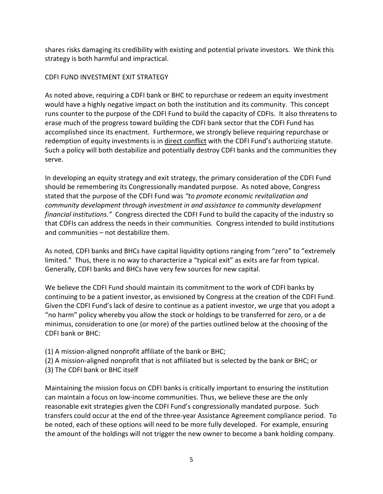shares risks damaging its credibility with existing and potential private investors. We think this strategy is both harmful and impractical.

# CDFI FUND INVESTMENT EXIT STRATEGY

As noted above, requiring a CDFI bank or BHC to repurchase or redeem an equity investment would have a highly negative impact on both the institution and its community. This concept runs counter to the purpose of the CDFI Fund to build the capacity of CDFIs. It also threatens to erase much of the progress toward building the CDFI bank sector that the CDFI Fund has accomplished since its enactment. Furthermore, we strongly believe requiring repurchase or redemption of equity investments is in direct conflict with the CDFI Fund's authorizing statute. Such a policy will both destabilize and potentially destroy CDFI banks and the communities they serve.

In developing an equity strategy and exit strategy, the primary consideration of the CDFI Fund should be remembering its Congressionally mandated purpose. As noted above, Congress stated that the purpose of the CDFI Fund was *"to promote economic revitalization and community development through investment in and assistance to community development financial institutions."* Congress directed the CDFI Fund to build the capacity of the industry so that CDFIs can address the needs in their communities. Congress intended to build institutions and communities – not destabilize them.

As noted, CDFI banks and BHCs have capital liquidity options ranging from "zero" to "extremely limited." Thus, there is no way to characterize a "typical exit" as exits are far from typical. Generally, CDFI banks and BHCs have very few sources for new capital.

We believe the CDFI Fund should maintain its commitment to the work of CDFI banks by continuing to be a patient investor, as envisioned by Congress at the creation of the CDFI Fund. Given the CDFI Fund's lack of desire to continue as a patient investor, we urge that you adopt a "no harm" policy whereby you allow the stock or holdings to be transferred for zero, or a de minimus, consideration to one (or more) of the parties outlined below at the choosing of the CDFI bank or BHC:

- (1) A mission-aligned nonprofit affiliate of the bank or BHC;
- (2) A mission-aligned nonprofit that is not affiliated but is selected by the bank or BHC; or
- (3) The CDFI bank or BHC itself

Maintaining the mission focus on CDFI banks is critically important to ensuring the institution can maintain a focus on low-income communities. Thus, we believe these are the only reasonable exit strategies given the CDFI Fund's congressionally mandated purpose. Such transfers could occur at the end of the three-year Assistance Agreement compliance period. To be noted, each of these options will need to be more fully developed. For example, ensuring the amount of the holdings will not trigger the new owner to become a bank holding company.